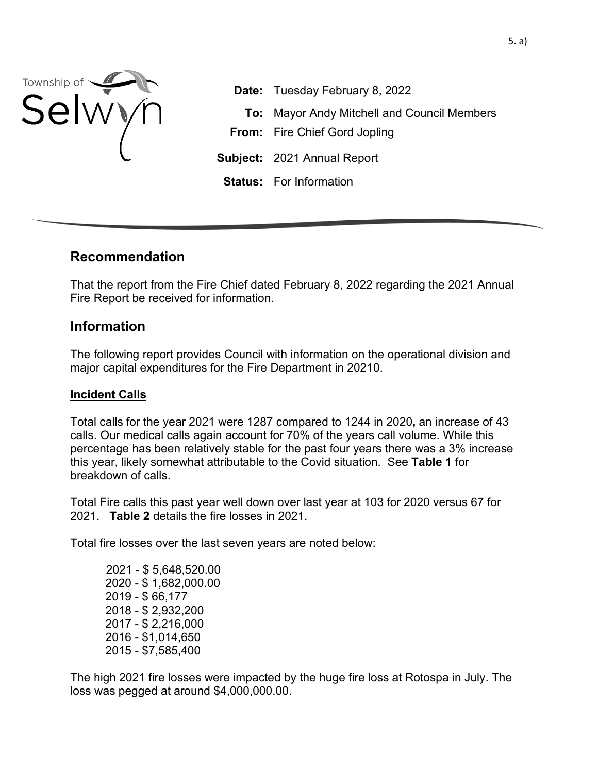

**Date:** Tuesday February 8, 2022 **To:** Mayor Andy Mitchell and Council Members **From:** Fire Chief Gord Jopling **Subject:** 2021 Annual Report **Status:** For Information

## **Recommendation**

That the report from the Fire Chief dated February 8, 2022 regarding the 2021 Annual Fire Report be received for information.

## **Information**

The following report provides Council with information on the operational division and major capital expenditures for the Fire Department in 20210.

#### **Incident Calls**

Total calls for the year 2021 were 1287 compared to 1244 in 2020**,** an increase of 43 calls. Our medical calls again account for 70% of the years call volume. While this percentage has been relatively stable for the past four years there was a 3% increase this year, likely somewhat attributable to the Covid situation. See **Table 1** for breakdown of calls.

Total Fire calls this past year well down over last year at 103 for 2020 versus 67 for 2021. **Table 2** details the fire losses in 2021.

Total fire losses over the last seven years are noted below:

 2021 - \$ 5,648,520.00 2020 - \$ 1,682,000.00 2019 - \$ 66,177 2018 - \$ 2,932,200 2017 - \$ 2,216,000 2016 - \$1,014,650 2015 - \$7,585,400

The high 2021 fire losses were impacted by the huge fire loss at Rotospa in July. The loss was pegged at around \$4,000,000.00.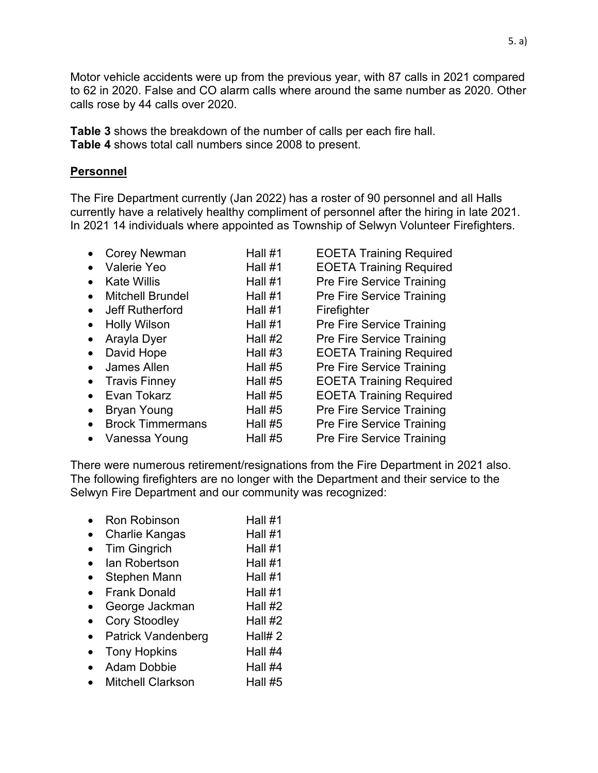Motor vehicle accidents were up from the previous year, with 87 calls in 2021 compared to 62 in 2020. False and CO alarm calls where around the same number as 2020. Other calls rose by 44 calls over 2020.

**Table 3** shows the breakdown of the number of calls per each fire hall. **Table 4** shows total call numbers since 2008 to present.

#### **Personnel**

The Fire Department currently (Jan 2022) has a roster of 90 personnel and all Halls currently have a relatively healthy compliment of personnel after the hiring in late 2021. In 2021 14 individuals where appointed as Township of Selwyn Volunteer Firefighters.

|           | <b>Corey Newman</b>     | Hall #1   | <b>EOETA Training Required</b>   |
|-----------|-------------------------|-----------|----------------------------------|
|           | Valerie Yeo             | Hall #1   | <b>EOETA Training Required</b>   |
|           | <b>Kate Willis</b>      | Hall #1   | <b>Pre Fire Service Training</b> |
| $\bullet$ | <b>Mitchell Brundel</b> | Hall #1   | Pre Fire Service Training        |
|           | Jeff Rutherford         | Hall #1   | Firefighter                      |
| $\bullet$ | <b>Holly Wilson</b>     | Hall #1   | <b>Pre Fire Service Training</b> |
| $\bullet$ | Arayla Dyer             | Hall $#2$ | <b>Pre Fire Service Training</b> |
| $\bullet$ | David Hope              | Hall $#3$ | <b>EOETA Training Required</b>   |
|           | <b>James Allen</b>      | Hall #5   | <b>Pre Fire Service Training</b> |
| $\bullet$ | <b>Travis Finney</b>    | Hall $#5$ | <b>EOETA Training Required</b>   |
|           | Evan Tokarz             | Hall #5   | <b>EOETA Training Required</b>   |
|           | <b>Bryan Young</b>      | Hall $#5$ | <b>Pre Fire Service Training</b> |
| $\bullet$ | <b>Brock Timmermans</b> | Hall #5   | <b>Pre Fire Service Training</b> |
| $\bullet$ | Vanessa Young           | Hall $#5$ | <b>Pre Fire Service Training</b> |
|           |                         |           |                                  |

There were numerous retirement/resignations from the Fire Department in 2021 also. The following firefighters are no longer with the Department and their service to the Selwyn Fire Department and our community was recognized:

- Ron Robinson Hall #1
- Charlie Kangas Hall #1
- Tim Ginarich Hall #1
- Ian Robertson Hall #1
- Stephen Mann Hall #1
- Frank Donald  $H_1$  Hall  $#1$
- George Jackman Hall #2
- Cory Stoodley Hall #2
- Patrick Vandenberg Hall# 2
- Tony Hopkins Hall #4
- Adam Dobbie Hall #4
- Mitchell Clarkson Hall #5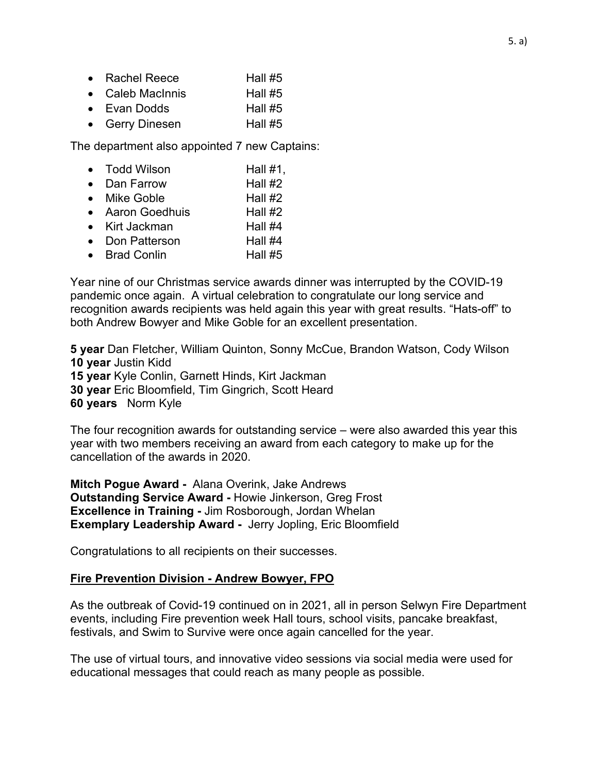- Rachel Reece  $H$ all #5
- Caleb MacInnis  $H$ all #5
- Evan Dodds Hall #5
- Gerry Dinesen Hall #5

The department also appointed 7 new Captains:

- Todd Wilson Hall #1,
- Dan Farrow Hall #2
- Mike Goble Hall #2
- Aaron Goedhuis Hall #2
- Kirt Jackman Hall #4
- Don Patterson Hall #4
- Brad Conlin Hall #5

Year nine of our Christmas service awards dinner was interrupted by the COVID-19 pandemic once again. A virtual celebration to congratulate our long service and recognition awards recipients was held again this year with great results. "Hats-off" to both Andrew Bowyer and Mike Goble for an excellent presentation.

**5 year** Dan Fletcher, William Quinton, Sonny McCue, Brandon Watson, Cody Wilson **10 year** Justin Kidd **15 year** Kyle Conlin, Garnett Hinds, Kirt Jackman **30 year** Eric Bloomfield, Tim Gingrich, Scott Heard **60 years** Norm Kyle

The four recognition awards for outstanding service – were also awarded this year this year with two members receiving an award from each category to make up for the cancellation of the awards in 2020.

**Mitch Pogue Award -** Alana Overink, Jake Andrews **Outstanding Service Award -** Howie Jinkerson, Greg Frost **Excellence in Training -** Jim Rosborough, Jordan Whelan **Exemplary Leadership Award -** Jerry Jopling, Eric Bloomfield

Congratulations to all recipients on their successes.

#### **Fire Prevention Division - Andrew Bowyer, FPO**

As the outbreak of Covid-19 continued on in 2021, all in person Selwyn Fire Department events, including Fire prevention week Hall tours, school visits, pancake breakfast, festivals, and Swim to Survive were once again cancelled for the year.

The use of virtual tours, and innovative video sessions via social media were used for educational messages that could reach as many people as possible.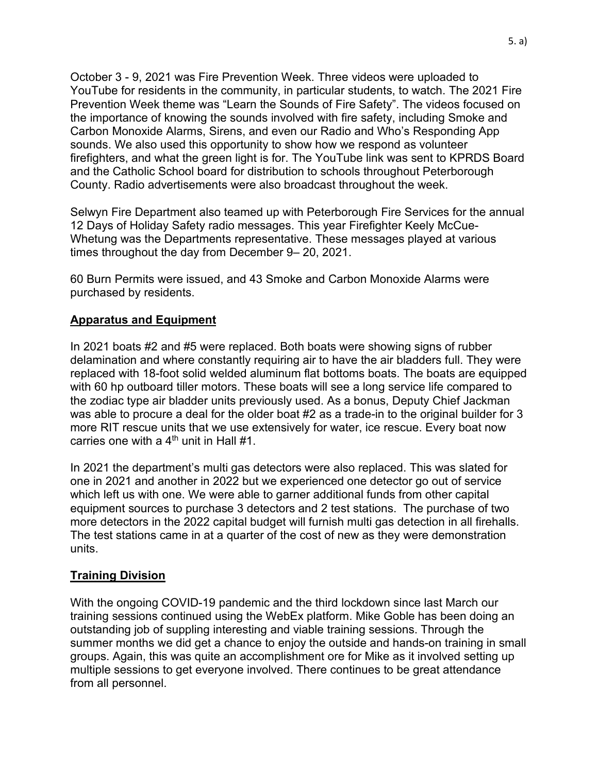October 3 - 9, 2021 was Fire Prevention Week. Three videos were uploaded to YouTube for residents in the community, in particular students, to watch. The 2021 Fire Prevention Week theme was "Learn the Sounds of Fire Safety". The videos focused on the importance of knowing the sounds involved with fire safety, including Smoke and Carbon Monoxide Alarms, Sirens, and even our Radio and Who's Responding App sounds. We also used this opportunity to show how we respond as volunteer firefighters, and what the green light is for. The YouTube link was sent to KPRDS Board and the Catholic School board for distribution to schools throughout Peterborough County. Radio advertisements were also broadcast throughout the week.

Selwyn Fire Department also teamed up with Peterborough Fire Services for the annual 12 Days of Holiday Safety radio messages. This year Firefighter Keely McCue-Whetung was the Departments representative. These messages played at various times throughout the day from December 9– 20, 2021.

60 Burn Permits were issued, and 43 Smoke and Carbon Monoxide Alarms were purchased by residents.

#### **Apparatus and Equipment**

In 2021 boats #2 and #5 were replaced. Both boats were showing signs of rubber delamination and where constantly requiring air to have the air bladders full. They were replaced with 18-foot solid welded aluminum flat bottoms boats. The boats are equipped with 60 hp outboard tiller motors. These boats will see a long service life compared to the zodiac type air bladder units previously used. As a bonus, Deputy Chief Jackman was able to procure a deal for the older boat #2 as a trade-in to the original builder for 3 more RIT rescue units that we use extensively for water, ice rescue. Every boat now carries one with a  $4<sup>th</sup>$  unit in Hall #1.

In 2021 the department's multi gas detectors were also replaced. This was slated for one in 2021 and another in 2022 but we experienced one detector go out of service which left us with one. We were able to garner additional funds from other capital equipment sources to purchase 3 detectors and 2 test stations. The purchase of two more detectors in the 2022 capital budget will furnish multi gas detection in all firehalls. The test stations came in at a quarter of the cost of new as they were demonstration units.

## **Training Division**

With the ongoing COVID-19 pandemic and the third lockdown since last March our training sessions continued using the WebEx platform. Mike Goble has been doing an outstanding job of suppling interesting and viable training sessions. Through the summer months we did get a chance to enjoy the outside and hands-on training in small groups. Again, this was quite an accomplishment ore for Mike as it involved setting up multiple sessions to get everyone involved. There continues to be great attendance from all personnel.